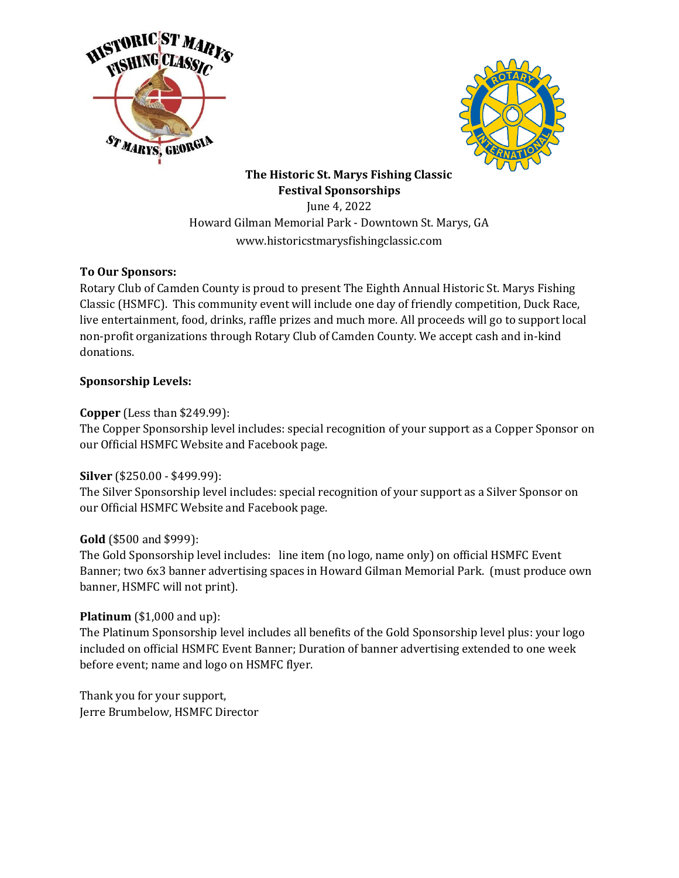



**The Historic St. Marys Fishing Classic Festival Sponsorships**

June 4, 2022 Howard Gilman Memorial Park - Downtown St. Marys, GA www.historicstmarysfishingclassic.com

## **To Our Sponsors:**

Rotary Club of Camden County is proud to present The Eighth Annual Historic St. Marys Fishing Classic (HSMFC). This community event will include one day of friendly competition, Duck Race, live entertainment, food, drinks, raffle prizes and much more. All proceeds will go to support local non-profit organizations through Rotary Club of Camden County. We accept cash and in-kind donations.

## **Sponsorship Levels:**

## **Copper** (Less than \$249.99):

The Copper Sponsorship level includes: special recognition of your support as a Copper Sponsor on our Official HSMFC Website and Facebook page.

### **Silver** (\$250.00 - \$499.99):

The Silver Sponsorship level includes: special recognition of your support as a Silver Sponsor on our Official HSMFC Website and Facebook page.

### **Gold** (\$500 and \$999):

The Gold Sponsorship level includes: line item (no logo, name only) on official HSMFC Event Banner; two 6x3 banner advertising spaces in Howard Gilman Memorial Park. (must produce own banner, HSMFC will not print).

### **Platinum** (\$1,000 and up):

The Platinum Sponsorship level includes all benefits of the Gold Sponsorship level plus: your logo included on official HSMFC Event Banner; Duration of banner advertising extended to one week before event; name and logo on HSMFC flyer.

Thank you for your support, Jerre Brumbelow, HSMFC Director